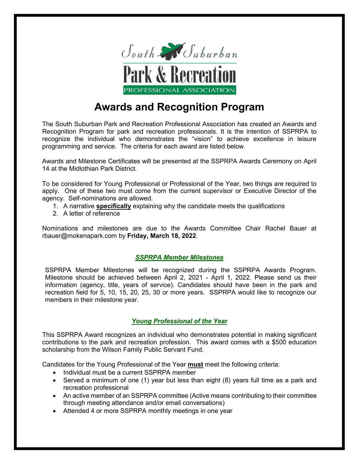

## **Awards and Recognition Program**

The South Suburban Park and Recreation Professional Association has created an Awards and Recognition Program for park and recreation professionals. It is the intention of SSPRPA to recognize the individual who demonstrates the "vision" to achieve excellence in leisure programming and service. The criteria for each award are listed below.

Awards and Milestone Certificates will be presented at the SSPRPA Awards Ceremony on April 14 at the Midlothian Park District.

To be considered for Young Professional or Professional of the Year, two things are required to apply. One of these two must come from the current supervisor or Executive Director of the agency. Self-nominations are allowed.

- 1. A narrative **specifically** explaining why the candidate meets the qualifications
- 2. A letter of reference

Nominations and milestones are due to the Awards Committee Chair Rachel Bauer at rbauer@mokenapark.com by **Friday, March 18, 2022**.

## *SSPRPA Member Milestones*

SSPRPA Member Milestones will be recognized during the SSPRPA Awards Program. Milestone should be achieved between April 2, 2021 - April 1, 2022. Please send us their information (agency, title, years of service). Candidates should have been in the park and recreation field for 5, 10, 15, 20, 25, 30 or more years. SSPRPA would like to recognize our members in their milestone year.

## *Young Professional of the Year*

This SSPRPA Award recognizes an individual who demonstrates potential in making significant contributions to the park and recreation profession. This award comes with a \$500 education scholarship from the Wilson Family Public Servant Fund.

Candidates for the Young Professional of the Year **must** meet the following criteria:

- Individual must be a current SSPRPA member
- Served a minimum of one (1) year but less than eight (8) years full time as a park and recreation professional
- An active member of an SSPRPA committee (Active means contributing to their committee through meeting attendance and/or email conversations)
- Attended 4 or more SSPRPA monthly meetings in one year